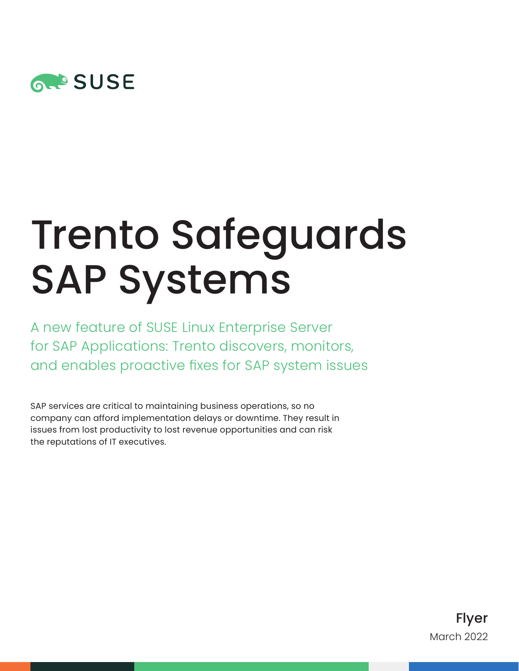

# Trento Safeguards SAP Systems

A new feature of SUSE Linux Enterprise Server for SAP Applications: Trento discovers, monitors, and enables proactive fixes for SAP system issues

SAP services are critical to maintaining business operations, so no company can afford implementation delays or downtime. They result in issues from lost productivity to lost revenue opportunities and can risk the reputations of IT executives.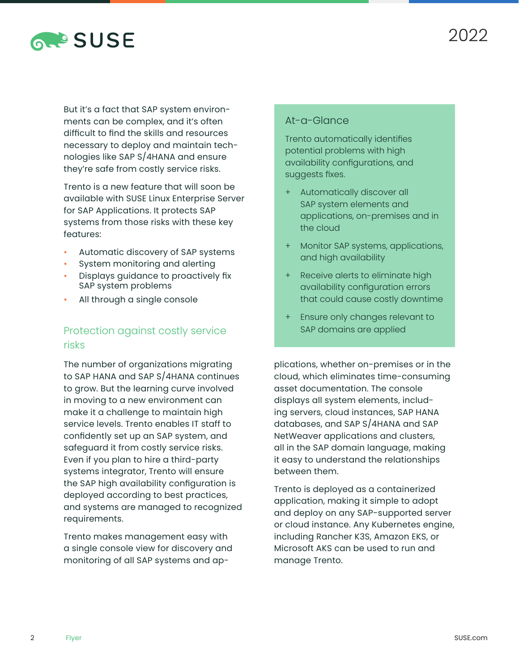

But it's a fact that SAP system environments can be complex, and it's often difficult to find the skills and resources necessary to deploy and maintain technologies like SAP S/4HANA and ensure they're safe from costly service risks.

Trento is a new feature that will soon be available with SUSE Linux Enterprise Server for SAP Applications. It protects SAP systems from those risks with these key features:

- Automatic discovery of SAP systems
- System monitoring and alerting
- Displays guidance to proactively fix SAP system problems
- All through a single console

## Protection against costly service risks

The number of organizations migrating to SAP HANA and SAP S/4HANA continues to grow. But the learning curve involved in moving to a new environment can make it a challenge to maintain high service levels. Trento enables IT staff to confidently set up an SAP system, and safeguard it from costly service risks. Even if you plan to hire a third-party systems integrator, Trento will ensure the SAP high availability configuration is deployed according to best practices, and systems are managed to recognized requirements.

Trento makes management easy with a single console view for discovery and monitoring of all SAP systems and ap-

#### At-a-Glance

Trento automatically identifies potential problems with high availability configurations, and suggests fixes.

- + Automatically discover all SAP system elements and applications, on-premises and in the cloud
- + Monitor SAP systems, applications, and high availability
- Receive alerts to eliminate high availability configuration errors that could cause costly downtime
- + Ensure only changes relevant to SAP domains are applied

plications, whether on-premises or in the cloud, which eliminates time-consuming asset documentation. The console displays all system elements, including servers, cloud instances, SAP HANA databases, and SAP S/4HANA and SAP NetWeaver applications and clusters, all in the SAP domain language, making it easy to understand the relationships between them.

Trento is deployed as a containerized application, making it simple to adopt and deploy on any SAP-supported server or cloud instance. Any Kubernetes engine, including Rancher K3S, Amazon EKS, or Microsoft AKS can be used to run and manage Trento.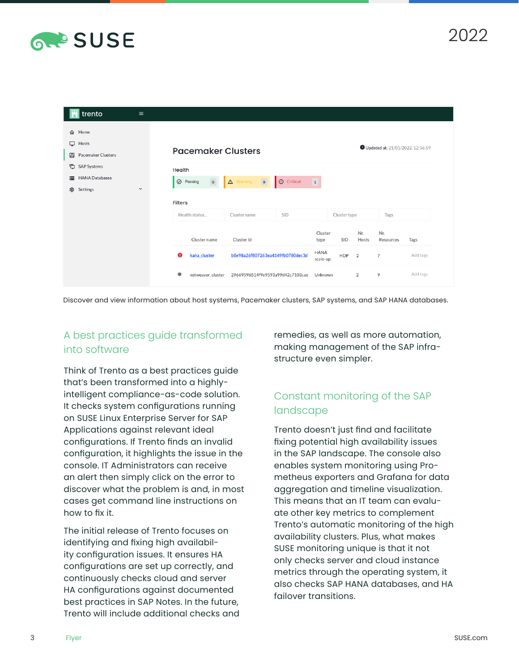

| trento                            | $\equiv$       |                                  |                                                                     |            |                         |            |              |                  |          |  |  |
|-----------------------------------|----------------|----------------------------------|---------------------------------------------------------------------|------------|-------------------------|------------|--------------|------------------|----------|--|--|
| Home<br>仚                         |                |                                  |                                                                     |            |                         |            |              |                  |          |  |  |
| $\Box$<br>Hosts                   |                | Updated at: 21/01/2022, 12:56:59 |                                                                     |            |                         |            |              |                  |          |  |  |
| Pacemaker Clusters<br>$\Delta$    |                |                                  | <b>Pacemaker Clusters</b>                                           |            |                         |            |              |                  |          |  |  |
| <b>SAP Systems</b><br>G           |                | Health                           |                                                                     |            |                         |            |              |                  |          |  |  |
| <b>HANA Databases</b><br>$\equiv$ |                | $\circ$<br>$\oslash$ Passing     | $\boxed{\circ}$<br>A Warning                                        | O Critical | $\left(1\right)$        |            |              |                  |          |  |  |
| Settings<br>প্ৰী                  | $\check{~}$    |                                  |                                                                     |            |                         |            |              |                  |          |  |  |
|                                   | <b>Filters</b> |                                  |                                                                     |            |                         |            |              |                  |          |  |  |
|                                   |                | Health status                    | Cluster name                                                        | SID        | Cluster type            |            | Tags         |                  |          |  |  |
|                                   |                | Cluster name                     | Cluster Id<br>b8e98a26f807263ea4149fb0780dec3d<br>hana_cluster<br>A |            | Cluster<br>type         | SID        | Nr.<br>Hosts | Nr.<br>Resources | Tags     |  |  |
|                                   |                |                                  |                                                                     |            | <b>HANA</b><br>scale-up | <b>HDP</b> | 2            | $\overline{7}$   | Add tags |  |  |
|                                   |                | $\bullet$<br>netweaver cluster   | 29669596514f9e9593a99d42c7103cae                                    |            | Unknown                 |            | 2            | 9                | Add tags |  |  |

Discover and view information about host systems, Pacemaker clusters, SAP systems, and SAP HANA databases.

## A best practices guide transformed into software

Think of Trento as a best practices guide that's been transformed into a highlyintelligent compliance-as-code solution. It checks system configurations running on SUSE Linux Enterprise Server for SAP Applications against relevant ideal configurations. If Trento finds an invalid configuration, it highlights the issue in the console. IT Administrators can receive an alert then simply click on the error to discover what the problem is and, in most cases get command line instructions on how to fix it.

The initial release of Trento focuses on identifying and fixing high availability configuration issues. It ensures HA configurations are set up correctly, and continuously checks cloud and server HA configurations against documented best practices in SAP Notes. In the future, Trento will include additional checks and

remedies, as well as more automation, making management of the SAP infrastructure even simpler.

## Constant monitoring of the SAP landscape

Trento doesn't just find and facilitate fixing potential high availability issues in the SAP landscape. The console also enables system monitoring using Prometheus exporters and Grafana for data aggregation and timeline visualization. This means that an IT team can evaluate other key metrics to complement Trento's automatic monitoring of the high availability clusters. Plus, what makes SUSE monitoring unique is that it not only checks server and cloud instance metrics through the operating system, it also checks SAP HANA databases, and HA failover transitions.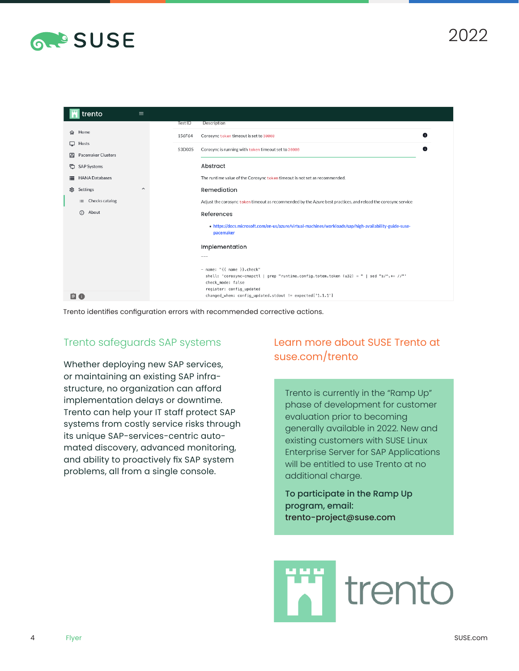



Trento identifies configuration errors with recommended corrective actions.

#### Trento safeguards SAP systems

Whether deploying new SAP services, or maintaining an existing SAP infrastructure, no organization can afford implementation delays or downtime. Trento can help your IT staff protect SAP systems from costly service risks through its unique SAP-services-centric automated discovery, advanced monitoring, and ability to proactively fix SAP system problems, all from a single console.

## [Learn more about SUSE Trento at](https://suse.com/trento)  [suse.com/trento](https://suse.com/trento)

Trento is currently in the "Ramp Up" phase of development for customer evaluation prior to becoming generally available in 2022. New and existing customers with SUSE Linux Enterprise Server for SAP Applications will be entitled to use Trento at no additional charge.

To participate in the Ramp Up program, email: [trento-project@suse.com](mailto:trento-project%40suse.com?subject=)